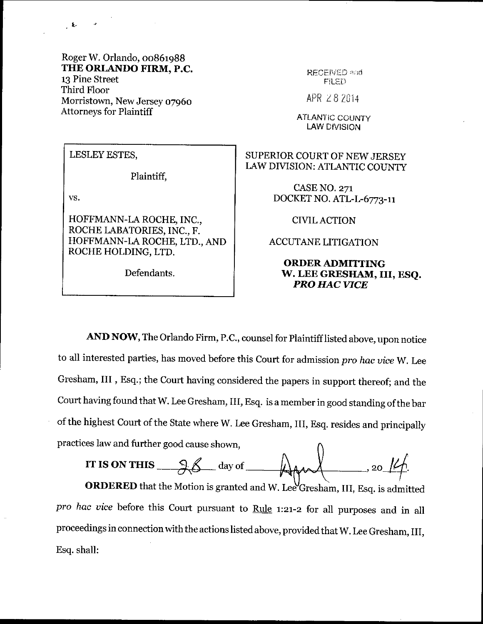Roger W. Orlando, 00861988 THE ORLANDO FIRM, P.C. 13 Pine Street Third Floor Morristown, New Jersey 07960 Attorneys for Plaintiff

LESLEY ESTES,

Plaintiff,

vs,

 $\mathcal{L}$ 

HOFFMANN-LA ROCHE, INC., ROCHE LABATORIES, INC., F. HOFFMANN-LA ROCHE, LTD., AND ROCHE HOLDING, LTD.

Defendants.

RECEIVED and FILED

APR 282014

**ATLANTIC COUNTY** LAW DIVISION

SUPERIOR COURT OF NEWJERSEY LAW DIVISION: ATLANTIC COUNTY

> CASE NO. 271 DOCKET NO. ATL-L-6773-11

> > CIVIL ACTION

ACCUTANE LITIGATION

## ORDERADMITTING W. LEE GRESIIAM, TII, ESQ. PRO HAC VICE

AND NOW, The Orlando Firm, P.C., counsel for Plaintiff listed above, upon notice to all interested parties, has moved before this Court for admission pro hac vice W. Lee Gresham, III, Esq.; the Court having considered the papers in support thereof; and the court having found that w. Lee Gresham, III, Esq. is a member in good standing of the bar of the highest Court of the State where W. Lee Gresham, III, Esq. resides and principally practices law and further good cause shown,

IT IS ON THIS  $\_\_\_\_\_\_\_\_\$  day of

ORDERED that the Motion is granted and W. Lee<sup>U</sup>Gresham, III, Esq. is admitted pro hac vice before this Court pursuant to Rule 1:21-2 for all purposes and in all proceedings in connection with the actions listed above, provided that W. Lee Gresham, III, Esq. shall: